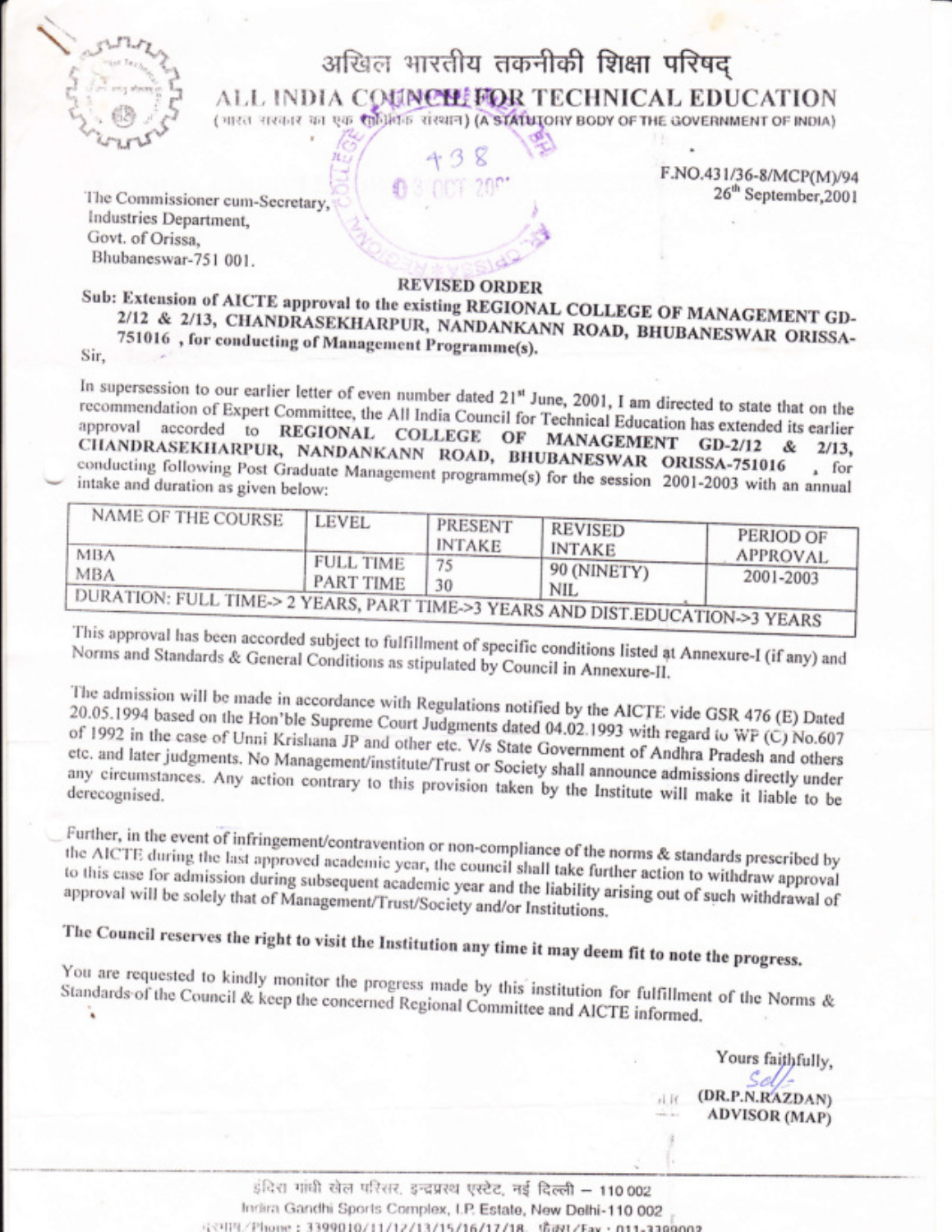

### अखिल भारतीय तकनीकी शिक्षा परिषद् ALL INDIA COUNCHIFOR TECHNICAL EDUCATION

(भारत सरकार का एक सोशियक संस्थान) (A STATUTORY BODY OF THE GOVERNMENT OF INDIA)

F.NO.431/36-8/MCP(M)/94 26<sup>th</sup> September, 2001

The Commissioner cum-Secretary, Industries Department, Govt. of Orissa, Bhubaneswar-751 001.

#### **REVISED ORDER**

#### Sub: Extension of AICTE approval to the existing REGIONAL COLLEGE OF MANAGEMENT GD-2/12 & 2/13, CHANDRASEKHARPUR, NANDANKANN ROAD, BHUBANESWAR ORISSA-751016, for conducting of Management Programme(s). Sir,

In supersession to our earlier letter of even number dated 21st June, 2001, I am directed to state that on the recommendation of Expert Committee, the All India Council for Technical Education has extended its earlier accorded to REGIONAL COLLEGE OF MANAGEMENT GD-2/12 & 2/13, CHANDRASEKHARPUR, NANDANKANN ROAD, BHUBANESWAR ORISSA-751016 conducting following Post Graduate Management programme(s) for the session 2001-2003 with an annual

| NAME OF THE COURSE                                                                         | <b>LEVEL</b>                         | <b>PRESENT</b><br><b>INTAKE</b> | <b>REVISED</b><br><b>INTAKE</b> | PERIOD OF             |
|--------------------------------------------------------------------------------------------|--------------------------------------|---------------------------------|---------------------------------|-----------------------|
| <b>MBA</b><br><b>MBA</b>                                                                   | <b>FULL TIME</b><br><b>PART TIME</b> |                                 | 90 (NINETY)                     | APPROVAL<br>2001-2003 |
| <b>DURATION: FULL TIME-&gt; 2 YEARS. PART TIME-&gt;3 YEARS AND DIST EDUCATION ~2 VEARS</b> |                                      |                                 | <b>NIL</b>                      |                       |

This approval has been accorded subject to fulfillment of specific conditions listed at Annexure-I (if any) and Norms and Standards & General Conditions as stipulated by Council in Annexure-II.

The admission will be made in accordance with Regulations notified by the AICTE vide GSR 476 (E) Dated 20.05.1994 based on the Hon'ble Supreme Court Judgments dated 04.02.1993 with regard to WP (C) No.607 of 1992 in the case of Unni Krishana JP and other etc. V/s State Government of Andhra Pradesh and others etc. and later judgments. No Management/institute/Trust or Society shall announce admissions directly under any circumstances. Any action contrary to this provision taken by the Institute will make it liable to be

Further, in the event of infringement/contravention or non-compliance of the norms & standards prescribed by the AICTE during the last approved academic year, the council shall take further action to withdraw approval to this case for admission during subsequent academic year and the liability arising out of such withdrawal of approval will be solely that of Management/Trust/Society and/or Institutions.

# The Council reserves the right to visit the Institution any time it may deem fit to note the progress.

You are requested to kindly monitor the progress made by this institution for fulfillment of the Norms & Standards of the Council & keep the concerned Regional Committee and AICTE informed.

> Yours faithfully, (DR.P.N.RAZDAN)  $n!$  If **ADVISOR** (MAP)

इंदिरा गांधी खेल परिसर, इन्द्रप्रस्थ एस्टेट, नई दिल्ली - 110 002 Indira Gandhi Sports Complex, I.P. Estate, New Delhi-110 002 は3月7/Phone: 3399010/11/12/13/15/16/17/18 情報ストッ·011-3300003